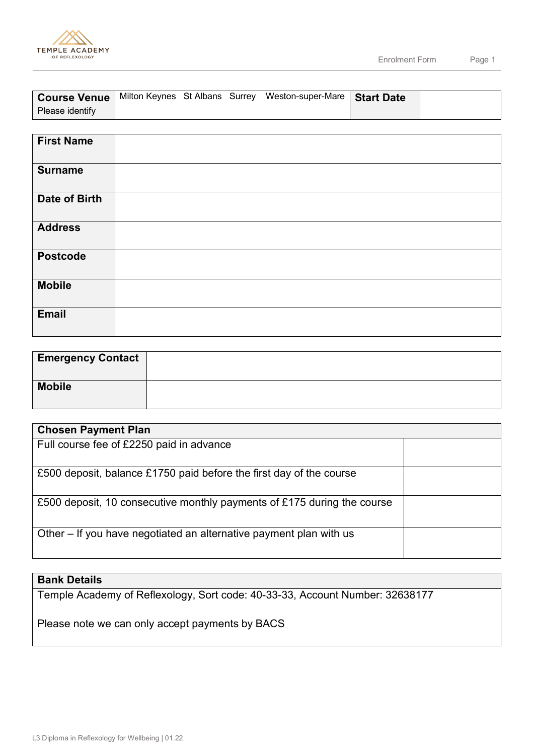

|                 |  | <b>Course Venue</b>   Milton Keynes St Albans Surrey Weston-super-Mare   Start Date |  |
|-----------------|--|-------------------------------------------------------------------------------------|--|
| Please identify |  |                                                                                     |  |

| <b>First Name</b> |  |
|-------------------|--|
| <b>Surname</b>    |  |
| Date of Birth     |  |
| <b>Address</b>    |  |
| <b>Postcode</b>   |  |
| <b>Mobile</b>     |  |
| <b>Email</b>      |  |

| <b>Emergency Contact</b> |  |
|--------------------------|--|
| <b>Mobile</b>            |  |

| <b>Chosen Payment Plan</b>                                              |  |
|-------------------------------------------------------------------------|--|
| Full course fee of £2250 paid in advance                                |  |
| £500 deposit, balance £1750 paid before the first day of the course     |  |
| £500 deposit, 10 consecutive monthly payments of £175 during the course |  |
| Other – If you have negotiated an alternative payment plan with us      |  |

## **Bank Details**

Temple Academy of Reflexology, Sort code: 40-33-33, Account Number: 32638177

Please note we can only accept payments by BACS